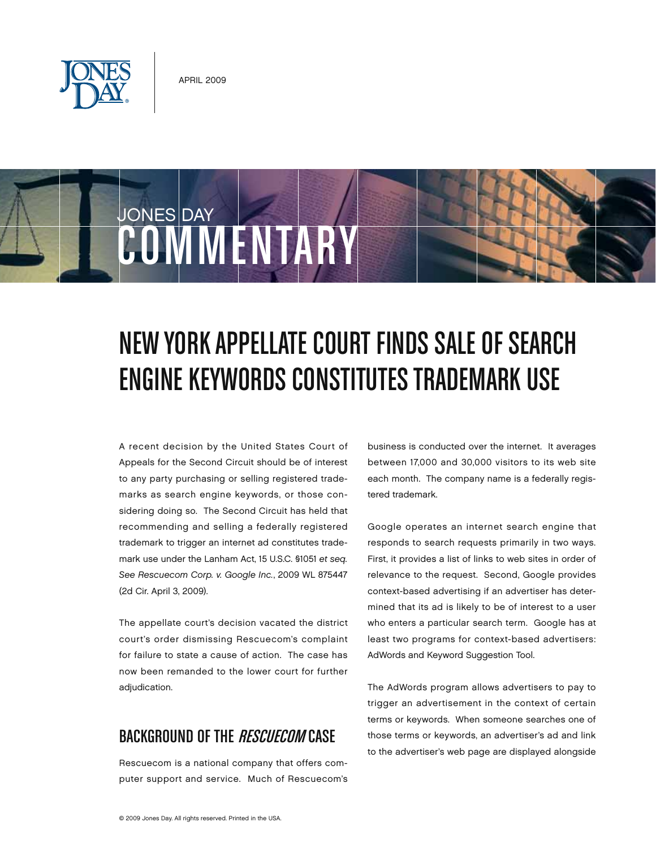



# New York Appellate Court Finds Saleof Search Engine Keywords Constitutes Trademark Use

A recent decision by the United States Court of Appeals for the Second Circuit should be of interest to any party purchasing or selling registered trademarks as search engine keywords, or those considering doing so. The Second Circuit has held that recommending and selling a federally registered trademark to trigger an internet ad constitutes trademark use under the Lanham Act, 15 U.S.C. §1051 *et seq. See Rescuecom Corp. v. Google Inc.*, 2009 WL 875447 (2d Cir. April 3, 2009).

The appellate court's decision vacated the district court's order dismissing Rescuecom's complaint for failure to state a cause of action. The case has now been remanded to the lower court for further adjudication.

## BACKGROUND OF THE *RESCUECOM* CASE

Rescuecom is a national company that offers computer support and service. Much of Rescuecom's business is conducted over the internet. It averages between 17,000 and 30,000 visitors to its web site each month. The company name is a federally registered trademark.

Google operates an internet search engine that responds to search requests primarily in two ways. First, it provides a list of links to web sites in order of relevance to the request. Second, Google provides context-based advertising if an advertiser has determined that its ad is likely to be of interest to a user who enters a particular search term. Google has at least two programs for context-based advertisers: AdWords and Keyword Suggestion Tool.

The AdWords program allows advertisers to pay to trigger an advertisement in the context of certain terms or keywords. When someone searches one of those terms or keywords, an advertiser's ad and link to the advertiser's web page are displayed alongside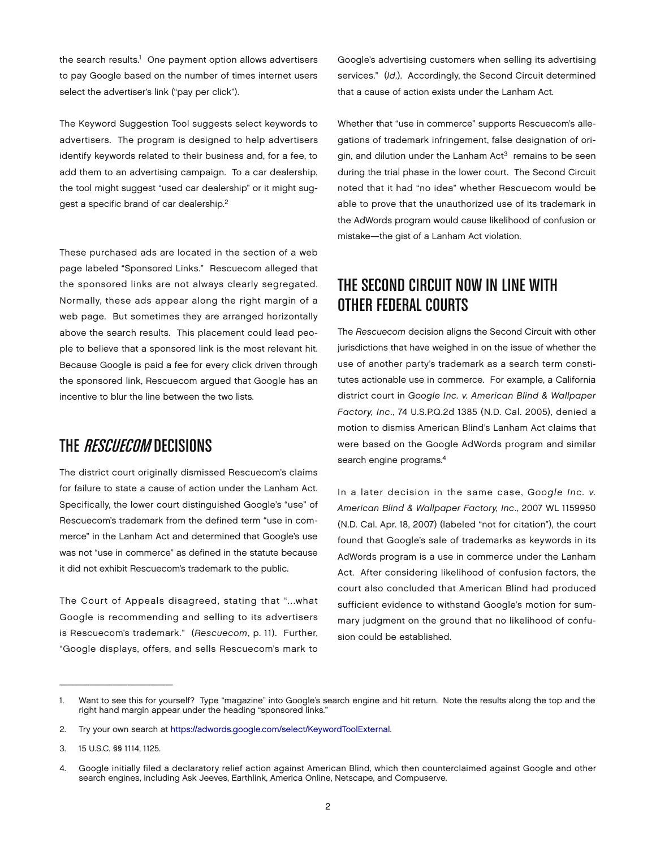the search results.<sup>1</sup> One payment option allows advertisers to pay Google based on the number of times internet users select the advertiser's link ("pay per click").

The Keyword Suggestion Tool suggests select keywords to advertisers. The program is designed to help advertisers identify keywords related to their business and, for a fee, to add them to an advertising campaign. To a car dealership, the tool might suggest "used car dealership" or it might suggest a specific brand of car dealership.2

These purchased ads are located in the section of a web page labeled "Sponsored Links." Rescuecom alleged that the sponsored links are not always clearly segregated. Normally, these ads appear along the right margin of a web page. But sometimes they are arranged horizontally above the search results. This placement could lead people to believe that a sponsored link is the most relevant hit. Because Google is paid a fee for every click driven through the sponsored link, Rescuecom argued that Google has an incentive to blur the line between the two lists.

#### THE *RESCUECOM* DECISIONS

The district court originally dismissed Rescuecom's claims for failure to state a cause of action under the Lanham Act. Specifically, the lower court distinguished Google's "use" of Rescuecom's trademark from the defined term "use in commerce" in the Lanham Act and determined that Google's use was not "use in commerce" as defined in the statute because it did not exhibit Rescuecom's trademark to the public.

The Court of Appeals disagreed, stating that "…what Google is recommending and selling to its advertisers is Rescuecom's trademark." (*Rescuecom*, p. 11). Further, "Google displays, offers, and sells Rescuecom's mark to

Google's advertising customers when selling its advertising services." (*Id*.). Accordingly, the Second Circuit determined that a cause of action exists under the Lanham Act.

Whether that "use in commerce" supports Rescuecom's allegations of trademark infringement, false designation of origin, and dilution under the Lanham  $Act<sup>3</sup>$  remains to be seen during the trial phase in the lower court. The Second Circuit noted that it had "no idea" whether Rescuecom would be able to prove that the unauthorized use of its trademark in the AdWords program would cause likelihood of confusion or mistake—the gist of a Lanham Act violation.

# THE SECOND CIRCUIT NOW IN LINE WITH OTHER FEDERAL COURTS

The *Rescuecom* decision aligns the Second Circuit with other jurisdictions that have weighed in on the issue of whether the use of another party's trademark as a search term constitutes actionable use in commerce. For example, a California district court in *Google Inc. v. American Blind & Wallpaper Factory, Inc*., 74 U.S.P.Q.2d 1385 (N.D. Cal. 2005), denied a motion to dismiss American Blind's Lanham Act claims that were based on the Google AdWords program and similar search engine programs.4

In a later decision in the same case, *Google Inc. v. American Blind & Wallpaper Factory, Inc*., 2007 WL 1159950 (N.D. Cal. Apr. 18, 2007) (labeled "not for citation"), the court found that Google's sale of trademarks as keywords in its AdWords program is a use in commerce under the Lanham Act. After considering likelihood of confusion factors, the court also concluded that American Blind had produced sufficient evidence to withstand Google's motion for summary judgment on the ground that no likelihood of confusion could be established.

 $\overline{\phantom{a}}$  , which is a set of the set of the set of the set of the set of the set of the set of the set of the set of the set of the set of the set of the set of the set of the set of the set of the set of the set of th

<sup>1.</sup> Want to see this for yourself? Type "magazine" into Google's search engine and hit return. Note the results along the top and the right hand margin appear under the heading "sponsored links."

<sup>2.</sup> Try your own search at [https://adwords.google.com/select/KeywordToolExternal.](https://adwords.google.com/select/KeywordToolExternal)

<sup>3.</sup> 15 U.S.C. §§ 1114, 1125.

<sup>4.</sup> Google initially filed a declaratory relief action against American Blind, which then counterclaimed against Google and other search engines, including Ask Jeeves, Earthlink, America Online, Netscape, and Compuserve.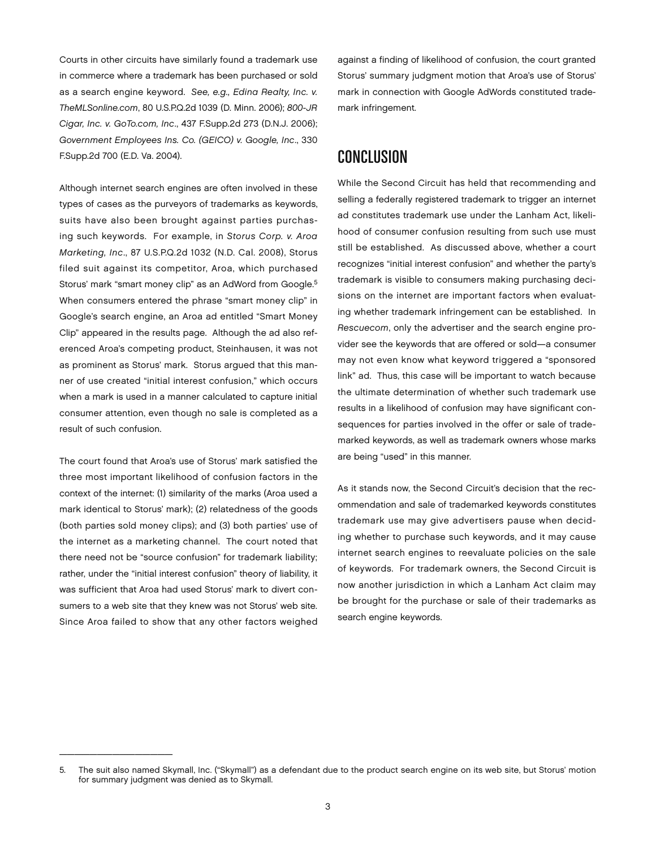Courts in other circuits have similarly found a trademark use in commerce where a trademark has been purchased or sold as a search engine keyword. *See, e.g., Edina Realty, Inc. v. TheMLSonline.com*, 80 U.S.P.Q.2d 1039 (D. Minn. 2006); *800-JR Cigar, Inc. v. GoTo.com, Inc*., 437 F.Supp.2d 273 (D.N.J. 2006); *Government Employees Ins. Co. (GEICO) v. Google, Inc*., 330 F.Supp.2d 700 (E.D. Va. 2004).

Although internet search engines are often involved in these types of cases as the purveyors of trademarks as keywords, suits have also been brought against parties purchasing such keywords. For example, in *Storus Corp. v. Aroa Marketing, Inc*., 87 U.S.P.Q.2d 1032 (N.D. Cal. 2008), Storus filed suit against its competitor, Aroa, which purchased Storus' mark "smart money clip" as an AdWord from Google.<sup>5</sup> When consumers entered the phrase "smart money clip" in Google's search engine, an Aroa ad entitled "Smart Money Clip" appeared in the results page. Although the ad also referenced Aroa's competing product, Steinhausen, it was not as prominent as Storus' mark. Storus argued that this manner of use created "initial interest confusion," which occurs when a mark is used in a manner calculated to capture initial consumer attention, even though no sale is completed as a result of such confusion.

The court found that Aroa's use of Storus' mark satisfied the three most important likelihood of confusion factors in the context of the internet: (1) similarity of the marks (Aroa used a mark identical to Storus' mark); (2) relatedness of the goods (both parties sold money clips); and (3) both parties' use of the internet as a marketing channel. The court noted that there need not be "source confusion" for trademark liability; rather, under the "initial interest confusion" theory of liability, it was sufficient that Aroa had used Storus' mark to divert consumers to a web site that they knew was not Storus' web site. Since Aroa failed to show that any other factors weighed

 $\frac{1}{2}$  ,  $\frac{1}{2}$  ,  $\frac{1}{2}$  ,  $\frac{1}{2}$  ,  $\frac{1}{2}$  ,  $\frac{1}{2}$  ,  $\frac{1}{2}$  ,  $\frac{1}{2}$  ,  $\frac{1}{2}$  ,  $\frac{1}{2}$  ,  $\frac{1}{2}$  ,  $\frac{1}{2}$  ,  $\frac{1}{2}$  ,  $\frac{1}{2}$  ,  $\frac{1}{2}$  ,  $\frac{1}{2}$  ,  $\frac{1}{2}$  ,  $\frac{1}{2}$  ,  $\frac{1$ 

against a finding of likelihood of confusion, the court granted Storus' summary judgment motion that Aroa's use of Storus' mark in connection with Google AdWords constituted trademark infringement.

# Conclusion

While the Second Circuit has held that recommending and selling a federally registered trademark to trigger an internet ad constitutes trademark use under the Lanham Act, likelihood of consumer confusion resulting from such use must still be established. As discussed above, whether a court recognizes "initial interest confusion" and whether the party's trademark is visible to consumers making purchasing decisions on the internet are important factors when evaluating whether trademark infringement can be established. In *Rescuecom*, only the advertiser and the search engine provider see the keywords that are offered or sold—a consumer may not even know what keyword triggered a "sponsored link" ad. Thus, this case will be important to watch because the ultimate determination of whether such trademark use results in a likelihood of confusion may have significant consequences for parties involved in the offer or sale of trademarked keywords, as well as trademark owners whose marks are being "used" in this manner.

As it stands now, the Second Circuit's decision that the recommendation and sale of trademarked keywords constitutes trademark use may give advertisers pause when deciding whether to purchase such keywords, and it may cause internet search engines to reevaluate policies on the sale of keywords. For trademark owners, the Second Circuit is now another jurisdiction in which a Lanham Act claim may be brought for the purchase or sale of their trademarks as search engine keywords.

<sup>5.</sup> The suit also named Skymall, Inc. ("Skymall") as a defendant due to the product search engine on its web site, but Storus' motion for summary judgment was denied as to Skymall.